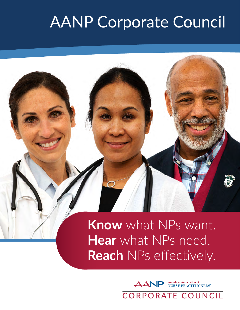## AANP Corporate Council

## **Know** what NPs want. **Hear** what NPs need. **Reach** NPs effectively.

**American Association of<br>NURSE PRACTITIONERS® AANP** 

CORPORATE COUNCIL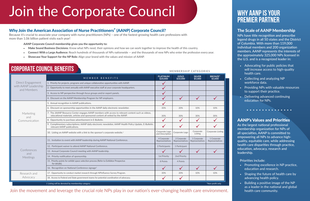### Join the movement and leverage the crucial role NPs play in our nation's ever-changing health care environment.

# **PREMIER PARTNER**

### The Scale of AANP Membership

NPs have title recognition and prescribe legend drugs in all 50 states and the District of Columbia. With more than 119,000 individual members and 200 organization members. AANP represents the interests of the approximately 325,000 NPs licensed in the U.S. and is a recognized leader in:

- Advocating for public policies that will increase access to high-quality health care.
- Collecting and analyzing NP workforce data.
- Providing NPs with valuable resources to support their practice.
- Delivering advanced continuing education for NPs.

. . . . . . . . . . . . . . .

- Promoting excellence in NP practice, education and research.
- Shaping the future of health care by advancing health policy.
- Building a positive image of the NP as a leader in the national and global health care community.

### AANP's Values and Priorities

As the largest national professional membership organization for NPs of all specialties, AANP is committed to empowering all NPs to advance highquality, equitable care, while addressing health care disparities through practice, education, advocacy, research and leadership.

#### Priorities include:

# Join the Corporate Council **WHY AANP IS YOUR**

### Why Join the American Association of Nurse Practitioners® (AANP) Corporate Council?

Because it's crucial to associate your company with nurse practitioners (NPs) – one of the fastest-growing health care professions with more than 1.06 billion patient visits each year!

#### AANP Corporate Council membership gives you the opportunity to:

- Make Sound Business Decisions: Know what NPs need, their opinions and how we can work together to improve the health of this country.
- Connect With a Large Audience: Reach hundreds of thousands of NPs nationwide and the thousands of new NPs who enter the profession every year.
- Showcase Your Support for the NP Role: Align your brand with the values and mission of AANP.

#### MEMBERSHIP CATEGORIES

| Direct Engagement<br>with AANP Leadership<br>and Members | MEMBER BENEFITS                                                                                                                                                                    | <b>PLATINUM</b><br>\$20,000       | <b>GOLD</b><br>\$10,000        | <b>SILVER</b><br>\$5,000       | <b>BRONZE*</b><br>\$3,000      |
|----------------------------------------------------------|------------------------------------------------------------------------------------------------------------------------------------------------------------------------------------|-----------------------------------|--------------------------------|--------------------------------|--------------------------------|
|                                                          | 1. Priority for projects, programs and unique collaborative opportunities with AANP.                                                                                               |                                   |                                |                                |                                |
|                                                          | 2. Opportunity to meet annually with AANP executive staff at your corporate headquarters.                                                                                          |                                   |                                |                                |                                |
|                                                          | 3. Access to NP perspective through focus groups and/or expert panels.                                                                                                             |                                   |                                |                                |                                |
|                                                          | 4. Discount on the AANP Membership Program for NP employers.                                                                                                                       |                                   | $\checkmark$                   | $\checkmark$                   |                                |
| Marketing<br>and<br>Communication                        | 5. Annual recognition in AANP publications.                                                                                                                                        |                                   |                                |                                |                                |
|                                                          | 6. Discount on sponsorship opportunities in the AANP daily electronic newsletter.                                                                                                  | 30%                               | 20%                            | 10%                            | 10%                            |
|                                                          | 7. The JAANP Resource Center engages AANP members with access to relevant content such as videos,<br>educational materials, articles and sponsored content all vetted by the AANP. | 30%                               | 30%                            | 30%                            | 30%                            |
|                                                          | 8. Opportunity to purchase advertisement in E-Bulletin.                                                                                                                            |                                   |                                |                                |                                |
|                                                          | 9. Complimentary subscriptions: AANP daily electronic newsletter, AANP Health Policy Update, E-Bulletin,<br>relevant AANP publications.                                            |                                   |                                |                                |                                |
|                                                          | 10. Listing on AANP website with a link to the sponsor's corporate website. <sup>†</sup>                                                                                           | Corporate Logo<br>and Description | Corporate Logo                 | Corporate<br>Listing           | <b>Corporate Listing</b>       |
| Conferences<br>and<br>Meetings                           | 11. Invitation to event with AANP leadership during AANP National Conference.                                                                                                      | 4 Corporate<br>Representatives    | 2 Corporate<br>Representatives | 1 Corporate<br>Representatives | 1 Corporate<br>Representatives |
|                                                          | 12. Participant waiver to attend AANP National Conference.                                                                                                                         | 2 Participants                    | 1 Participant                  |                                |                                |
|                                                          | 13. Annual Corporate Council meeting with AANP leadership.                                                                                                                         |                                   | $\sqrt{2}$                     | $\checkmark$                   |                                |
|                                                          | 14. Priority notification of sponsorship.                                                                                                                                          | 1st Priority                      | 2nd Priority                   |                                |                                |
|                                                          | 15. Priority points for exhibit space selection process (Refer to Exhibitor Prospectus<br>for details).                                                                            | 8 Points                          | 4 Points                       |                                |                                |
|                                                          | 16. Recognition on National Conference signage <sup>t.</sup>                                                                                                                       |                                   |                                | $\checkmark$                   |                                |
| Research and<br>Advocacy                                 | 17. Opportunity to conduct market research through NPInfluence Survey Program.                                                                                                     | 30%                               | 20%                            | 10%                            | 10%                            |
|                                                          | 18. Access to Federal and State government teams for potential coordination of advocacy.                                                                                           | $\sqrt{}$                         | $\checkmark$                   |                                |                                |
| † Listing will be denoted by membership category         |                                                                                                                                                                                    |                                   |                                |                                | *Non-profit only               |

**CORPORATE COUNCIL BENEFITS**